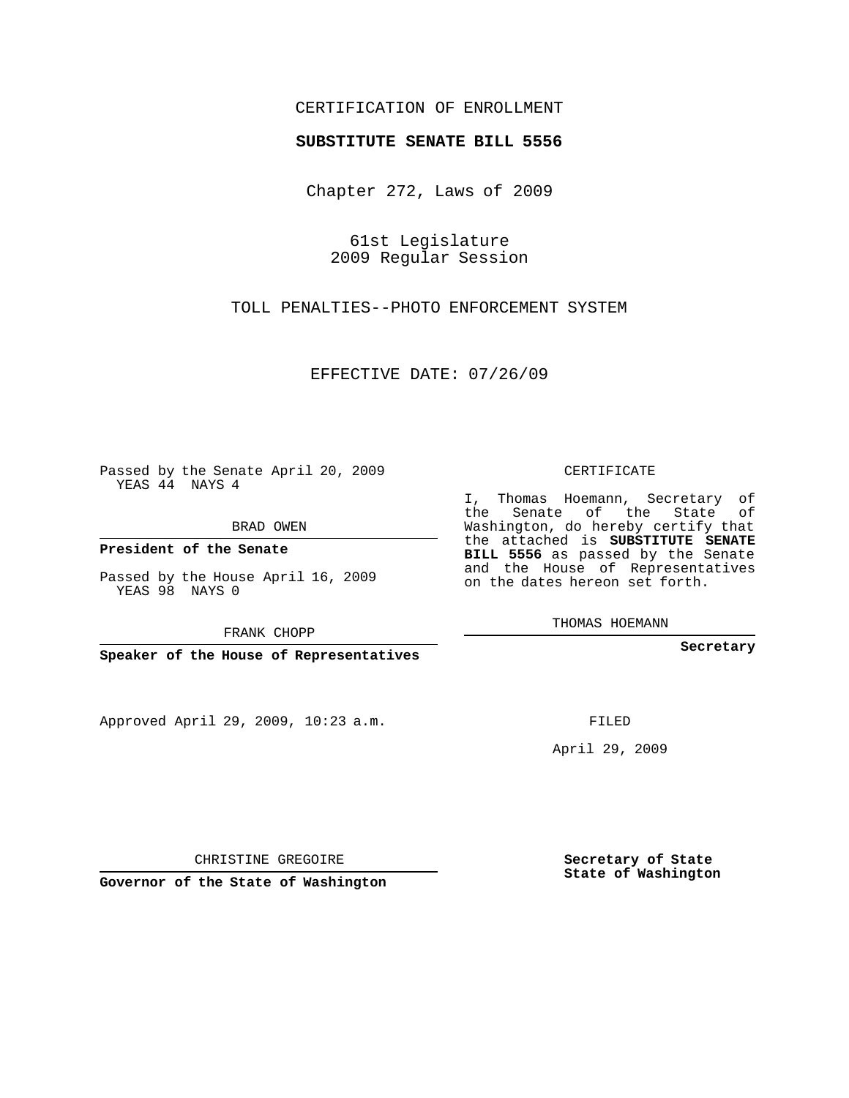## CERTIFICATION OF ENROLLMENT

## **SUBSTITUTE SENATE BILL 5556**

Chapter 272, Laws of 2009

61st Legislature 2009 Regular Session

TOLL PENALTIES--PHOTO ENFORCEMENT SYSTEM

EFFECTIVE DATE: 07/26/09

Passed by the Senate April 20, 2009 YEAS 44 NAYS 4

BRAD OWEN

**President of the Senate**

Passed by the House April 16, 2009 YEAS 98 NAYS 0

FRANK CHOPP

**Speaker of the House of Representatives**

Approved April 29, 2009, 10:23 a.m.

CERTIFICATE

I, Thomas Hoemann, Secretary of the Senate of the State of Washington, do hereby certify that the attached is **SUBSTITUTE SENATE BILL 5556** as passed by the Senate and the House of Representatives on the dates hereon set forth.

THOMAS HOEMANN

**Secretary**

FILED

April 29, 2009

**Secretary of State State of Washington**

CHRISTINE GREGOIRE

**Governor of the State of Washington**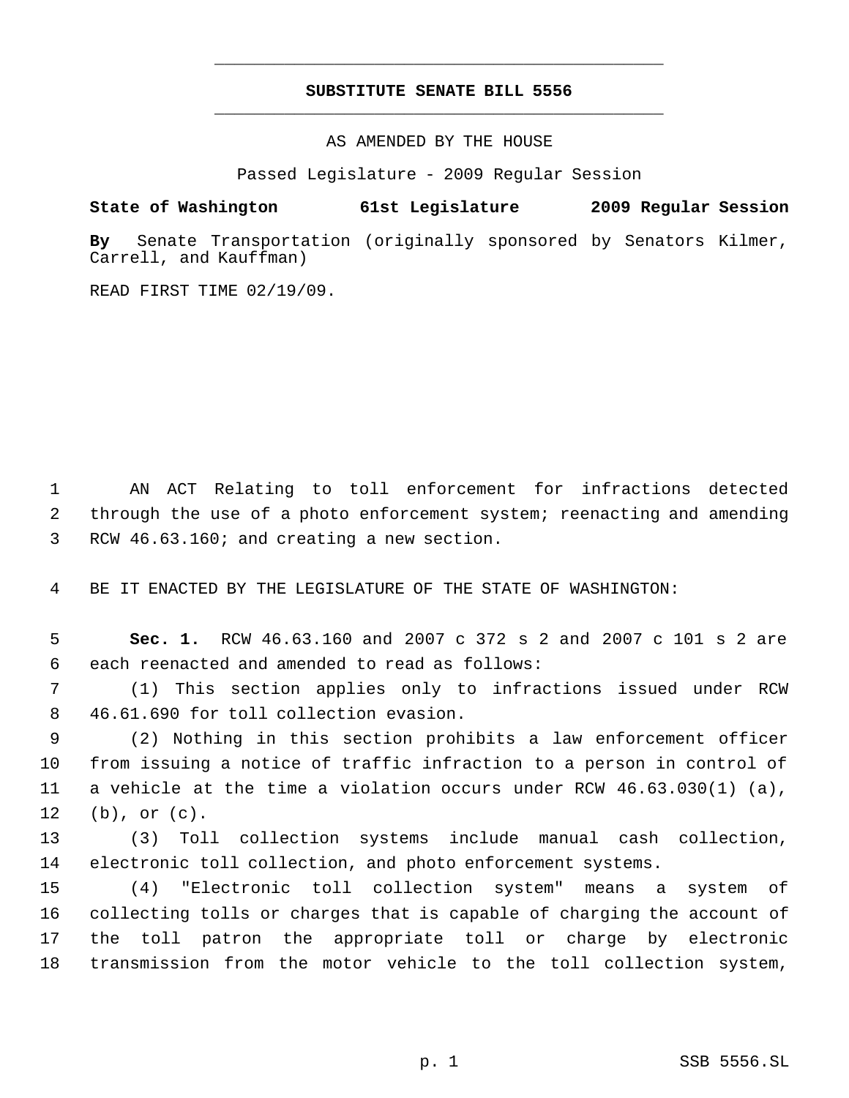## **SUBSTITUTE SENATE BILL 5556** \_\_\_\_\_\_\_\_\_\_\_\_\_\_\_\_\_\_\_\_\_\_\_\_\_\_\_\_\_\_\_\_\_\_\_\_\_\_\_\_\_\_\_\_\_

\_\_\_\_\_\_\_\_\_\_\_\_\_\_\_\_\_\_\_\_\_\_\_\_\_\_\_\_\_\_\_\_\_\_\_\_\_\_\_\_\_\_\_\_\_

AS AMENDED BY THE HOUSE

Passed Legislature - 2009 Regular Session

## **State of Washington 61st Legislature 2009 Regular Session**

**By** Senate Transportation (originally sponsored by Senators Kilmer, Carrell, and Kauffman)

READ FIRST TIME 02/19/09.

 AN ACT Relating to toll enforcement for infractions detected through the use of a photo enforcement system; reenacting and amending RCW 46.63.160; and creating a new section.

BE IT ENACTED BY THE LEGISLATURE OF THE STATE OF WASHINGTON:

 **Sec. 1.** RCW 46.63.160 and 2007 c 372 s 2 and 2007 c 101 s 2 are each reenacted and amended to read as follows:

 (1) This section applies only to infractions issued under RCW 46.61.690 for toll collection evasion.

 (2) Nothing in this section prohibits a law enforcement officer from issuing a notice of traffic infraction to a person in control of a vehicle at the time a violation occurs under RCW 46.63.030(1) (a), (b), or (c).

 (3) Toll collection systems include manual cash collection, electronic toll collection, and photo enforcement systems.

 (4) "Electronic toll collection system" means a system of collecting tolls or charges that is capable of charging the account of the toll patron the appropriate toll or charge by electronic transmission from the motor vehicle to the toll collection system,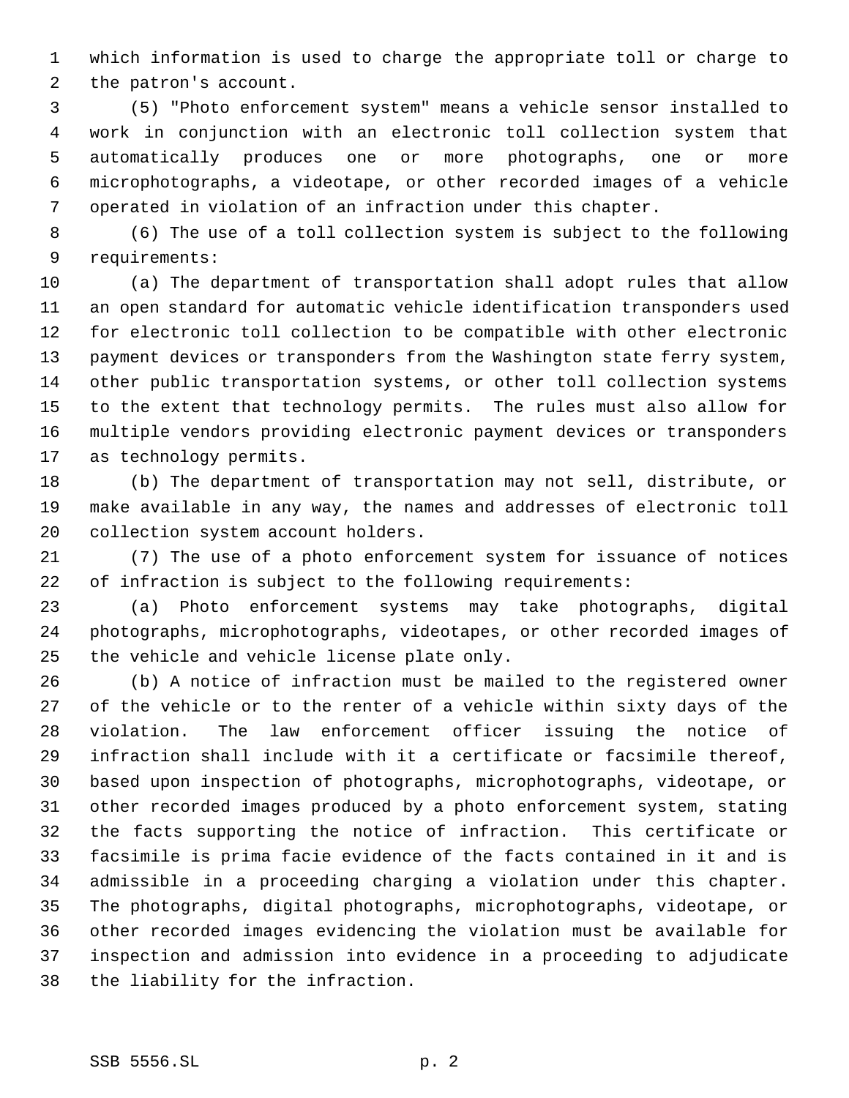which information is used to charge the appropriate toll or charge to the patron's account.

 (5) "Photo enforcement system" means a vehicle sensor installed to work in conjunction with an electronic toll collection system that automatically produces one or more photographs, one or more microphotographs, a videotape, or other recorded images of a vehicle operated in violation of an infraction under this chapter.

 (6) The use of a toll collection system is subject to the following requirements:

 (a) The department of transportation shall adopt rules that allow an open standard for automatic vehicle identification transponders used for electronic toll collection to be compatible with other electronic payment devices or transponders from the Washington state ferry system, other public transportation systems, or other toll collection systems to the extent that technology permits. The rules must also allow for multiple vendors providing electronic payment devices or transponders as technology permits.

 (b) The department of transportation may not sell, distribute, or make available in any way, the names and addresses of electronic toll collection system account holders.

 (7) The use of a photo enforcement system for issuance of notices of infraction is subject to the following requirements:

 (a) Photo enforcement systems may take photographs, digital photographs, microphotographs, videotapes, or other recorded images of the vehicle and vehicle license plate only.

 (b) A notice of infraction must be mailed to the registered owner of the vehicle or to the renter of a vehicle within sixty days of the violation. The law enforcement officer issuing the notice of infraction shall include with it a certificate or facsimile thereof, based upon inspection of photographs, microphotographs, videotape, or other recorded images produced by a photo enforcement system, stating the facts supporting the notice of infraction. This certificate or facsimile is prima facie evidence of the facts contained in it and is admissible in a proceeding charging a violation under this chapter. The photographs, digital photographs, microphotographs, videotape, or other recorded images evidencing the violation must be available for inspection and admission into evidence in a proceeding to adjudicate the liability for the infraction.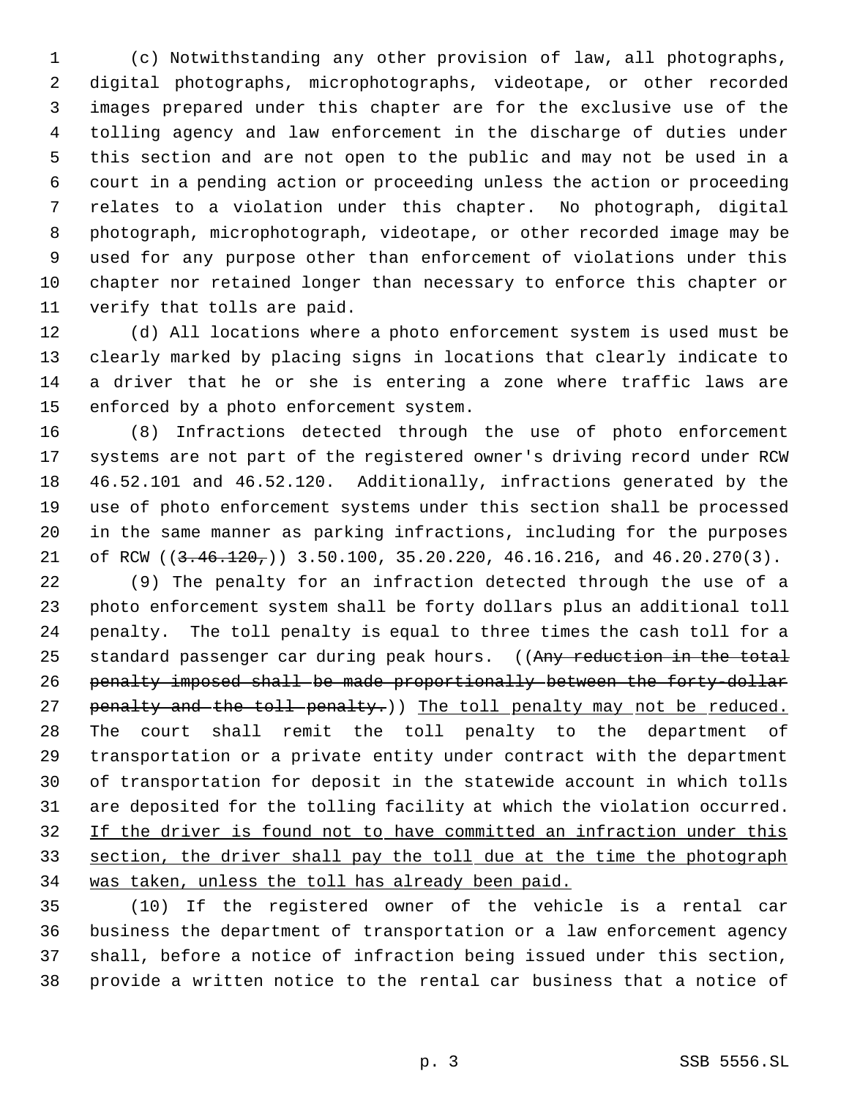(c) Notwithstanding any other provision of law, all photographs, digital photographs, microphotographs, videotape, or other recorded images prepared under this chapter are for the exclusive use of the tolling agency and law enforcement in the discharge of duties under this section and are not open to the public and may not be used in a court in a pending action or proceeding unless the action or proceeding relates to a violation under this chapter. No photograph, digital photograph, microphotograph, videotape, or other recorded image may be used for any purpose other than enforcement of violations under this chapter nor retained longer than necessary to enforce this chapter or verify that tolls are paid.

 (d) All locations where a photo enforcement system is used must be clearly marked by placing signs in locations that clearly indicate to a driver that he or she is entering a zone where traffic laws are enforced by a photo enforcement system.

 (8) Infractions detected through the use of photo enforcement systems are not part of the registered owner's driving record under RCW 46.52.101 and 46.52.120. Additionally, infractions generated by the use of photo enforcement systems under this section shall be processed in the same manner as parking infractions, including for the purposes 21 of RCW ((3.46.120,)) 3.50.100, 35.20.220, 46.16.216, and 46.20.270(3).

 (9) The penalty for an infraction detected through the use of a photo enforcement system shall be forty dollars plus an additional toll penalty. The toll penalty is equal to three times the cash toll for a 25 standard passenger car during peak hours. ((Any reduction in the total penalty imposed shall be made proportionally between the forty-dollar 27 penalty and the toll penalty.)) The toll penalty may not be reduced. The court shall remit the toll penalty to the department of transportation or a private entity under contract with the department of transportation for deposit in the statewide account in which tolls are deposited for the tolling facility at which the violation occurred. 32 If the driver is found not to have committed an infraction under this section, the driver shall pay the toll due at the time the photograph was taken, unless the toll has already been paid.

 (10) If the registered owner of the vehicle is a rental car business the department of transportation or a law enforcement agency shall, before a notice of infraction being issued under this section, provide a written notice to the rental car business that a notice of